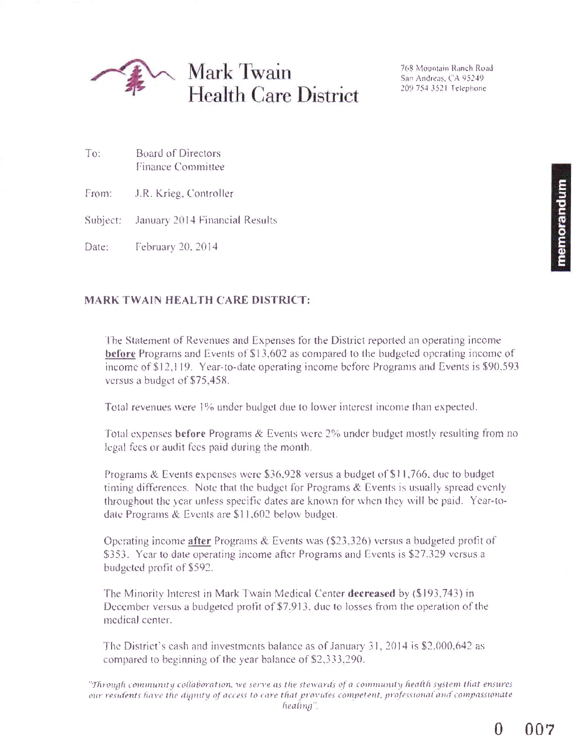

768 Mountain Ranch Road San Andreas, CA 95249 209 754 3521 Telephone

From: J.R. Krieg, Controller

To:

Subject: January 2014 Financial Results

**Board of Directors Finance Committee** 

Date: February 20, 2014

## **MARK TWAIN HEALTH CARE DISTRICT:**

The Statement of Revenues and Expenses for the District reported an operating income **before** Programs and Events of \$13,602 as compared to the budgeted operating income of income of \$12,119. Year-to-date operating income before Programs and Events is \$90,593 versus a budget of \$75,458.

Total revenues were 1% under budget due to lower interest income than expected.

Total expenses before Programs & Events were 2% under budget mostly resulting from no legal fees or audit fees paid during the month.

Programs & Events expenses were \$36,928 versus a budget of \$11,766, due to budget timing differences. Note that the budget for Programs & Events is usually spread evenly throughout the year unless specific dates are known for when they will be paid. Year-todate Programs & Events are \$11,602 below budget.

Operating income after Programs & Events was  $(\$23,326)$  versus a budgeted profit of \$353. Year to date operating income after Programs and Events is \$27,329 versus a budgeted profit of \$592.

The Minority Interest in Mark Twain Medical Center decreased by (\$193,743) in December versus a budgeted profit of \$7.913, due to losses from the operation of the medical center.

The District's cash and investments balance as of January 31, 2014 is \$2,000,642 as compared to beginning of the year balance of \$2,333,290.

<sup>&</sup>quot;Through community collaboration, we serve as the stewards of a community health system that ensures our residents have the dignity of access to care that provides competent, professional and compassionate healing".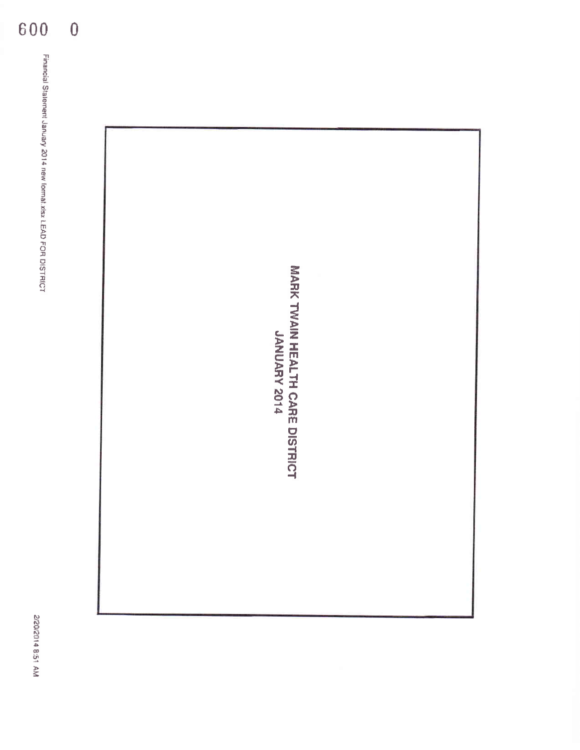

600

 $\overline{0}$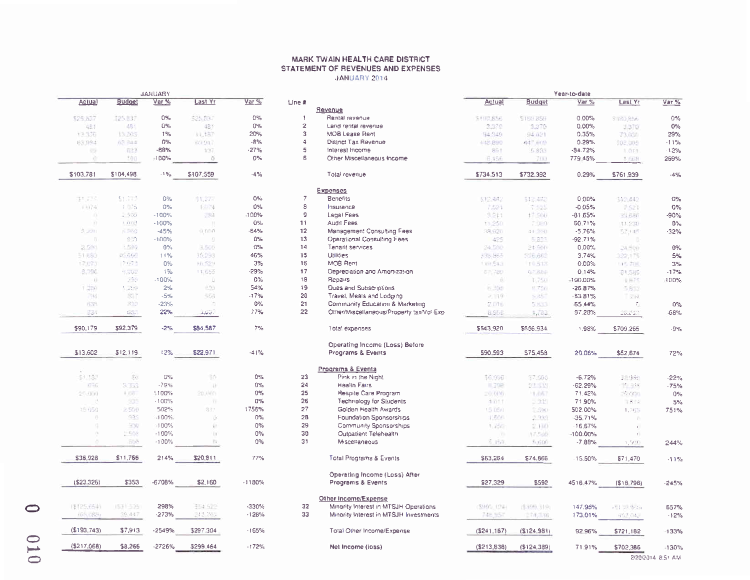## MARK TWAIN HEALTH CARE DISTRICT STATEMENT OF REVENUES AND EXPENSES JANUARY 2014

|             |                                                                        | <b>JAILIAN</b> |              |          |                 |                                           |             |               | <b>TESMID-QUIE</b> |                      |         |
|-------------|------------------------------------------------------------------------|----------------|--------------|----------|-----------------|-------------------------------------------|-------------|---------------|--------------------|----------------------|---------|
| Actual      | <b>Budget</b>                                                          | Var %          | Last Yr      | Var %    | $Line$ #        |                                           | Actual      | <b>Budget</b> | Var %              | Last Yr              | Var %   |
|             |                                                                        |                |              |          |                 | Revenue                                   |             |               |                    |                      |         |
| \$25,837    | 125.837                                                                | 0%             | 525,857      | 0%       | -1              | Rental revenue                            | \$100,856   | \$183,859     | 0.00%              | \$180,856            | $0\%$   |
| 地封          | 481                                                                    | $0\%$          | 181          | $0\%$    | $\overline{2}$  | Land rental revenue                       | 3:370       | 3,370         | $0.00\%$           | 3,370                | $0\%$   |
| 13.376      | 13,203                                                                 | 1%             | <b>ALTB7</b> | 20%      | $\mathbf{3}$    | <b>MOB Lease Rent</b>                     | 94.349      | 94.021        | 0.35%              | 73,038               | 29%     |
| 63,994      | AT 244                                                                 | $0\%$          | 80.917       | $-8%$    | $\overline{4}$  | District Tax Revenue                      | 148.890     | 4年 百0秒        | 0.29%              | 502.005              | $-11\%$ |
| <b>REA</b>  | 征约                                                                     | -88%           | 137          | $-27%$   | 5               | Interest Income                           | 801         | 5.833         | $-84.72%$          | 3.011                | $-12%$  |
| ŵ.          | 100                                                                    | -100%          | O.           | 0%       | 6               | Other Miscellaneous Income                | H.156       | 700           | 779.45%            | 1,0638               | 269%    |
| \$103,781   | \$104,498                                                              | $-1.96$        | \$107,559    | $-4%$    |                 | Total revenue                             | \$734,513   | \$732,392     | 0.29%              | \$761,939            | $-4%$   |
|             |                                                                        |                |              |          |                 | <b>Expenses</b>                           |             |               |                    |                      |         |
| \$1,735     | 11.777                                                                 | 0%             | \$1,27%      | $O\%$    | $\overline{7}$  | Benefits                                  | \$12,442    | 512,442       | 0.00%              | 512,442              | $0\%$   |
| 3.3374      | $1 - 75$                                                               | 0%             | 1.074        | 0%       | $\bf8$          | Insurance                                 | 7,521       | 7.525         | $-0.05%$           | 7.521                | $0\%$   |
| m           | $-500$                                                                 | $-100%$        | 283          | $-100%$  | g               | Legal Fees                                | 3,211       | 17.500        | $-81.65%$          | 33.686               | $-90%$  |
| - 17        | 1.110.13                                                               | $-100%$        | $\alpha$     | $O\%$    | 11              | Audit Fees                                |             |               |                    |                      |         |
|             |                                                                        |                |              |          |                 |                                           | 13,250.     | 7,000         | 60.71%             | 11.230               | $0\%$   |
| 3.221       | $5 - 10$                                                               | $-45%$         | 9.000        | $-64%$   | 12              | Management Consulting Fees                | 18.920      | 中国市           | $-5.76%$           | 57,645               | $-32%$  |
| n           | 1333                                                                   | $-100%$        | Đ            | 0%       | 13              | Operational Consulting Fees               | 425         | 5.823         | $-92.71%$          |                      |         |
| 3.501       | $1 - 10$                                                               | $0\%$          | 3,505        | 0%       | 14              | Tenant services                           | 24,500      | 24.500        | 0.00%              | 24,500               | $0\%$   |
| 51,653      | $\mathcal{L}^{\mu\nu}=\frac{1}{2}\int_{0}^{\infty}\mathbf{r}^{\mu\nu}$ | 11%            | 36,293       | 46%      | 15              | <b>Utilities</b>                          | 335,865     | 336.662       | 3.74%              | 122,175              | 5%      |
| 17.073      | 7.073                                                                  | 0%             | 10,529       | 3%       | 16              | MOB Rent                                  | 1.19.513    | 19.513        | 0.00%              | (15.70代)             | 3%      |
| 5,796       | 5,202                                                                  | $1\%$          | 11.655       | $-29%$   | 17              | Depreciation and Amortization             | 61,780      | 0.7.888       | 0.14%              | 01,585               | $-17%$  |
| œ.          | $\mathcal{F}^{\mathcal{P}}(\mathcal{G})$                               | $-100%$        | D            | 0%       | 18              | Repairs                                   | 和           | 1.750         | $-100.00%$         | 1 <sup>17</sup>      | 100%    |
| 1,280       | 1.259                                                                  | 2%             | 833          | 54%      | 19              | <b>Oues and Subscriptions</b>             | h. 598      | 8.750         | $-26.87%$          | 5,819                |         |
| 794         | ■                                                                      | $-5%$          | 554          | $-17%$   | 20 <sub>2</sub> | Travel, Meals and Lodging                 | 2.119       | > 25          | 63.81%             | $\sim$ $\sim$        |         |
| 638         | 320                                                                    | $-23%$         | 'n           | 0%       | 21              | Community Education & Marketing           | 2.016       | 5,833         | 65.44%             | C.                   | $0\%$   |
| 834         | <b>UCL</b>                                                             | 22%            | آباباباذ     | $-77%$   | 22              | Other/Miscellaneous/Property tax/Vol Exp. | 8,958       | 4,702         | 87.28%             | ರಿವರ್ಷ               | -68%    |
|             |                                                                        |                |              |          |                 |                                           |             |               |                    |                      |         |
| \$90,179    | \$92,379                                                               | $-2\%$         | \$84.587     | 7%       |                 | Total expenses                            | \$643,920   | \$656.934     | $-1.98%$           | \$709,265            | $-9%$   |
|             |                                                                        |                |              |          |                 | Operating Income (Loss) Before            |             |               |                    |                      |         |
| \$13,602    | \$12,119                                                               | 12%            | \$22,971     | $-41%$   |                 | Programs & Events                         | \$90,593    | \$75,458      | 20.06%             | \$52,674             | 72%     |
|             |                                                                        |                |              |          |                 | Programs & Events                         |             |               |                    |                      |         |
| \$1,137     | $\Gamma_{\rm{c}}$                                                      | $Q\%$          | 30           | 0%       | 23              | Pink in the Night                         | 16.906      | 37.600        | $-6.72%$           | 1 95                 | $-22%$  |
| 道中央         | 9.353                                                                  | $-79%$         | n)           | $0\%$    | 24              | Health Fairs                              | 非卫明         | 29.333        | $-62.29%$          | $\mathcal{F} = 0.16$ | 75%     |
| $2 - 000$   | $+0.5$                                                                 | 1100%          | 20,000       | $0\%$    | 25              | Respite Care Program                      | $= 0.0005$  | $-1.667$      | 71.42%             | $-0.115$             | $0\%$   |
|             | 435                                                                    | $-100%$        | m            | $0\%$    | 26              | <b>Technology for Students</b>            | 1.011       | $-231$        | 71.90%             | 日本 山                 | 5%      |
| 15.050      | 2.500                                                                  | 502%           | 813          | 1756%    | 27              | Golden Health Awards                      | 15 DEG      | <b>SHOW</b>   | 502.00%            |                      | 751%    |
| $\sim$      | 939                                                                    |                |              |          | 28              |                                           |             |               |                    | 1,765                |         |
|             |                                                                        | $-100%$        | $\odot$      | $0\%$    |                 | Foundation Sponsorships                   | 1,500       | 2.223         | $-35,71%$          | p.                   |         |
| o.          | 330                                                                    | $-100%$        | Ð            | $0\%$    | 29              | Community Sponsorships                    | 1,750       | 2.100         | $-16.67%$          | ÷.                   |         |
| 19          | $-500$                                                                 | $-100%$        | $\{1\}$      | $0\%$    | 30              | Outpatient Telehealth                     | ь           | 17.500        | $-100.00\%$        | ÷.                   |         |
| a.          | 500                                                                    | $-100%$        | <b>D</b>     | 0%       | 31              | Miscellaneous                             | S. 1581     | 500000        | $-7.88%$           | 1,500                | 244%    |
| \$36,928    | \$11,766                                                               | 214%           | \$20,811     | 77%      |                 | Total Programs & Events                   | \$63,264    | \$74,866      | $-15.50%$          | \$71,470             | $-11%$  |
|             |                                                                        |                |              |          |                 | Operating Income (Loss) After             |             |               |                    |                      |         |
| ( \$23.326) | \$353                                                                  | -6708%         | \$2,160      | $-1180%$ |                 | Programs & Events                         | \$27,329    | \$592         | 4516.47%           | (S18,796)            | $-245%$ |
|             |                                                                        |                |              |          |                 | Other Income/Expense                      |             |               |                    |                      |         |
| \$125,6541  | IST 525                                                                | 298%           | \$54,622     | -330%    | 32              | Minority Interest in MTSJH Operations.    | 5905.124    | \$396,1191    | 147.95%            | in 1973 Statist      | 657%    |
| (68,089)    | 39.447                                                                 | $-273%$        | (12.76)      | $-128%$  | 33              | Minority Interest in MTSJH Investments    | 748.957     | 世子市川田村        | 173.01%            | 855,052              | $-12%$  |
|             |                                                                        |                |              |          |                 |                                           |             |               |                    |                      |         |
| (\$193,743) | \$7,913                                                                | $-2549%$       | \$297.304    | $-165%$  |                 | Total Other Income/Expense                | (5241, 167) | (\$124,981)   | 92.96%             | \$721,182            | 133%    |
| (5217,068)  | \$8,266                                                                | $-2726%$       | \$299.464    | $-172%$  |                 | Net Income (loss)                         | (\$213,838) | $(\$124,389)$ | 71.91%             | \$702,386            | -130%   |
|             |                                                                        |                |              |          |                 |                                           |             |               |                    |                      |         |

*CARDINAMI* 

2/20/2014 8:51 AM

**Made Administration**